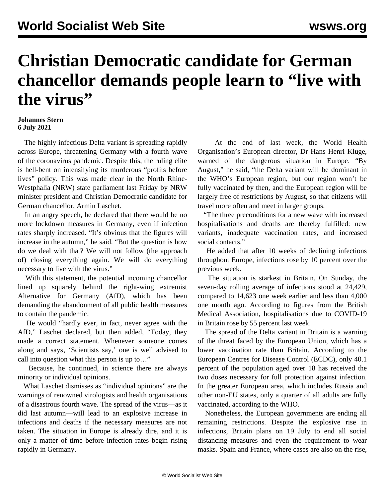## **Christian Democratic candidate for German chancellor demands people learn to "live with the virus"**

## **Johannes Stern 6 July 2021**

 The highly infectious Delta variant is spreading rapidly across Europe, threatening Germany with a fourth wave of the coronavirus pandemic. Despite this, the ruling elite is hell-bent on intensifying its murderous "profits before lives" policy. This was made clear in the North Rhine-Westphalia (NRW) state parliament last Friday by NRW minister president and Christian Democratic candidate for German chancellor, Armin Laschet.

 In an angry speech, he declared that there would be no more lockdown measures in Germany, even if infection rates sharply increased. "It's obvious that the figures will increase in the autumn," he said. "But the question is how do we deal with that? We will not follow (the approach of) closing everything again. We will do everything necessary to live with the virus."

 With this statement, the potential incoming chancellor lined up squarely behind the right-wing extremist Alternative for Germany (AfD), which has been demanding the abandonment of all public health measures to contain the pandemic.

 He would "hardly ever, in fact, never agree with the AfD," Laschet declared, but then added, "Today, they made a correct statement. Whenever someone comes along and says' 'Scientists say,' one is well advised to call into question what this person is up to…"

 Because, he continued, in science there are always minority or individual opinions.

 What Laschet dismisses as "individual opinions" are the warnings of renowned virologists and health organisations of a disastrous fourth wave. The spread of the virus—as it did last autumn—will lead to an explosive increase in infections and deaths if the necessary measures are not taken. The situation in Europe is already dire, and it is only a matter of time before infection rates begin rising rapidly in Germany.

 At the end of last week, the World Health Organisation's European director, Dr Hans Henri Kluge, warned of the dangerous situation in Europe. "By August," he said, "the Delta variant will be dominant in the WHO's European region, but our region won't be fully vaccinated by then, and the European region will be largely free of restrictions by August, so that citizens will travel more often and meet in larger groups.

 "The three preconditions for a new wave with increased hospitalisations and deaths are thereby fulfilled: new variants, inadequate vaccination rates, and increased social contacts."

 He added that after 10 weeks of declining infections throughout Europe, infections rose by 10 percent over the previous week.

 The situation is starkest in Britain. On Sunday, the seven-day rolling average of infections stood at 24,429, compared to 14,623 one week earlier and less than 4,000 one month ago. According to figures from the British Medical Association, hospitalisations due to COVID-19 in Britain rose by 55 percent last week.

 The spread of the Delta variant in Britain is a warning of the threat faced by the European Union, which has a lower vaccination rate than Britain. According to the European Centres for Disease Control (ECDC), only 40.1 percent of the population aged over 18 has received the two doses necessary for full protection against infection. In the greater European area, which includes Russia and other non-EU states, only a quarter of all adults are fully vaccinated, according to the WHO.

 Nonetheless, the European governments are ending all remaining restrictions. Despite the explosive rise in infections, Britain plans on 19 July to end all social distancing measures and even the requirement to wear masks. Spain and France, where cases are also on the rise,